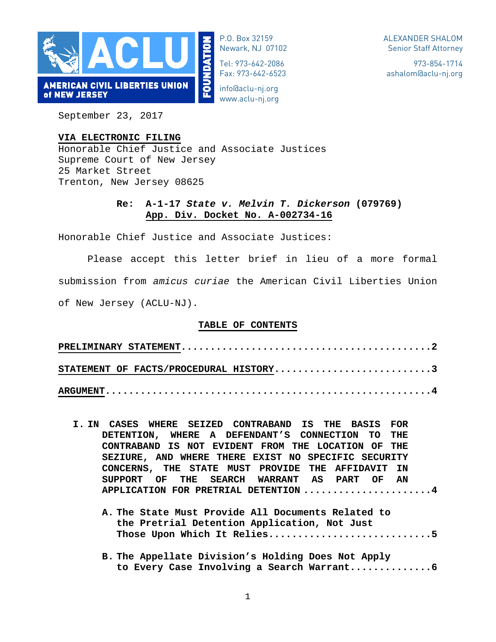

P.O. Box 32159 Newark, NJ 07102

Tel: 973-642-2086 Fax: 973-642-6523

info@aclu-nj.org www.aclu-nj.org

973-854-1714 ashalom@aclu-nj.org

September 23, 2017

### **VIA ELECTRONIC FILING**

Honorable Chief Justice and Associate Justices Supreme Court of New Jersey 25 Market Street Trenton, New Jersey 08625

## **Re: A-1-17** *State v. Melvin T. Dickerson* **(079769) App. Div. Docket No. A-002734-16**

Honorable Chief Justice and Associate Justices:

Please accept this letter brief in lieu of a more formal submission from *amicus curiae* the American Civil Liberties Union of New Jersey (ACLU-NJ).

### **TABLE OF CONTENTS**

| STATEMENT OF FACTS/PROCEDURAL HISTORY3 |  |  |  |  |  |  |  |
|----------------------------------------|--|--|--|--|--|--|--|
|                                        |  |  |  |  |  |  |  |

- **I. IN CASES WHERE SEIZED CONTRABAND IS THE BASIS FOR DETENTION, WHERE A DEFENDANT'S CONNECTION TO THE CONTRABAND IS NOT EVIDENT FROM THE LOCATION OF THE SEZIURE, AND WHERE THERE EXIST NO SPECIFIC SECURITY CONCERNS, THE STATE MUST PROVIDE THE AFFIDAVIT IN SUPPORT OF THE SEARCH WARRANT AS PART OF AN APPLICATION FOR PRETRIAL DETENTION ......................4**
	- **A. The State Must Provide All Documents Related to the Pretrial Detention Application, Not Just Those Upon Which It Relies............................5**
	- **B. The Appellate Division's Holding Does Not Apply to Every Case Involving a Search Warrant..............6**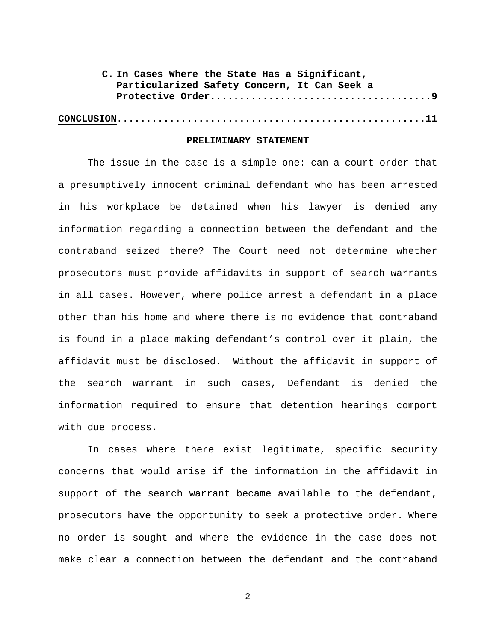| C. In Cases Where the State Has a Significant, |
|------------------------------------------------|
| Particularized Safety Concern, It Can Seek a   |
|                                                |
|                                                |

#### **PRELIMINARY STATEMENT**

The issue in the case is a simple one: can a court order that a presumptively innocent criminal defendant who has been arrested in his workplace be detained when his lawyer is denied any information regarding a connection between the defendant and the contraband seized there? The Court need not determine whether prosecutors must provide affidavits in support of search warrants in all cases. However, where police arrest a defendant in a place other than his home and where there is no evidence that contraband is found in a place making defendant's control over it plain, the affidavit must be disclosed. Without the affidavit in support of the search warrant in such cases, Defendant is denied the information required to ensure that detention hearings comport with due process.

In cases where there exist legitimate, specific security concerns that would arise if the information in the affidavit in support of the search warrant became available to the defendant, prosecutors have the opportunity to seek a protective order. Where no order is sought and where the evidence in the case does not make clear a connection between the defendant and the contraband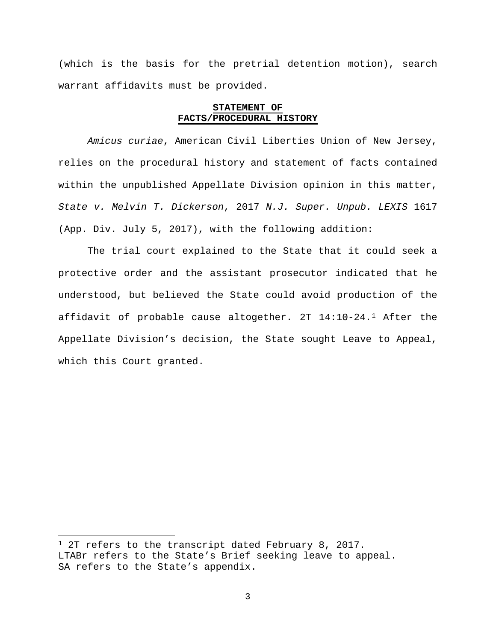(which is the basis for the pretrial detention motion), search warrant affidavits must be provided.

### **STATEMENT OF FACTS/PROCEDURAL HISTORY**

*Amicus curiae*, American Civil Liberties Union of New Jersey, relies on the procedural history and statement of facts contained within the unpublished Appellate Division opinion in this matter, *State v. Melvin T. Dickerson*, 2017 *N.J. Super. Unpub. LEXIS* 1617 (App. Div. July 5, 2017), with the following addition:

The trial court explained to the State that it could seek a protective order and the assistant prosecutor indicated that he understood, but believed the State could avoid production of the affidavit of probable cause altogether. 2T 14:10-24.[1](#page-2-0) After the Appellate Division's decision, the State sought Leave to Appeal, which this Court granted.

 $\overline{a}$ 

<span id="page-2-0"></span><sup>&</sup>lt;sup>1</sup> 2T refers to the transcript dated February 8, 2017. LTABr refers to the State's Brief seeking leave to appeal. SA refers to the State's appendix.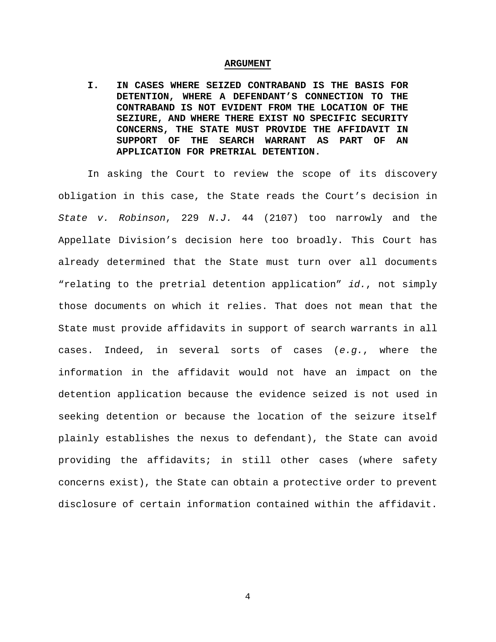#### **ARGUMENT**

**I. IN CASES WHERE SEIZED CONTRABAND IS THE BASIS FOR DETENTION, WHERE A DEFENDANT'S CONNECTION TO THE CONTRABAND IS NOT EVIDENT FROM THE LOCATION OF THE SEZIURE, AND WHERE THERE EXIST NO SPECIFIC SECURITY CONCERNS, THE STATE MUST PROVIDE THE AFFIDAVIT IN SUPPORT OF THE SEARCH WARRANT AS PART OF AN APPLICATION FOR PRETRIAL DETENTION.**

In asking the Court to review the scope of its discovery obligation in this case, the State reads the Court's decision in *State v. Robinson*, 229 *N.J.* 44 (2107) too narrowly and the Appellate Division's decision here too broadly. This Court has already determined that the State must turn over all documents "relating to the pretrial detention application" *id.*, not simply those documents on which it relies. That does not mean that the State must provide affidavits in support of search warrants in all cases. Indeed, in several sorts of cases (*e.g.*, where the information in the affidavit would not have an impact on the detention application because the evidence seized is not used in seeking detention or because the location of the seizure itself plainly establishes the nexus to defendant), the State can avoid providing the affidavits; in still other cases (where safety concerns exist), the State can obtain a protective order to prevent disclosure of certain information contained within the affidavit.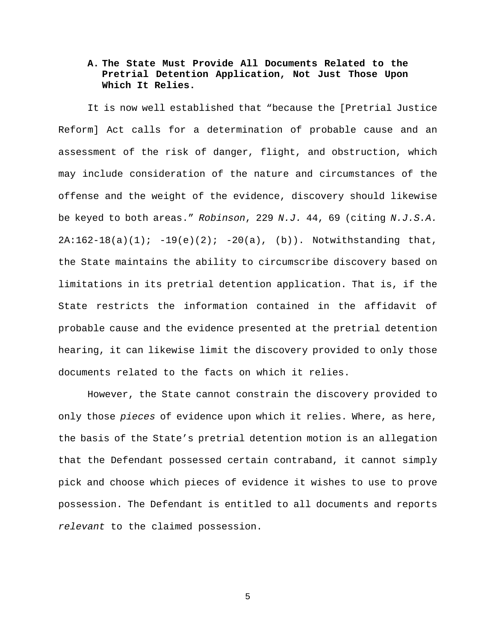# **A. The State Must Provide All Documents Related to the Pretrial Detention Application, Not Just Those Upon Which It Relies.**

It is now well established that "because the [Pretrial Justice Reform] Act calls for a determination of probable cause and an assessment of the risk of danger, flight, and obstruction, which may include consideration of the nature and circumstances of the offense and the weight of the evidence, discovery should likewise be keyed to both areas." *Robinson*, 229 *N.J.* 44, 69 (citing *N.J.S.A.*  $2A:162-18(a)(1); -19(e)(2); -20(a), (b)).$  Notwithstanding that, the State maintains the ability to circumscribe discovery based on limitations in its pretrial detention application. That is, if the State restricts the information contained in the affidavit of probable cause and the evidence presented at the pretrial detention hearing, it can likewise limit the discovery provided to only those documents related to the facts on which it relies.

However, the State cannot constrain the discovery provided to only those *pieces* of evidence upon which it relies. Where, as here, the basis of the State's pretrial detention motion is an allegation that the Defendant possessed certain contraband, it cannot simply pick and choose which pieces of evidence it wishes to use to prove possession. The Defendant is entitled to all documents and reports *relevant* to the claimed possession.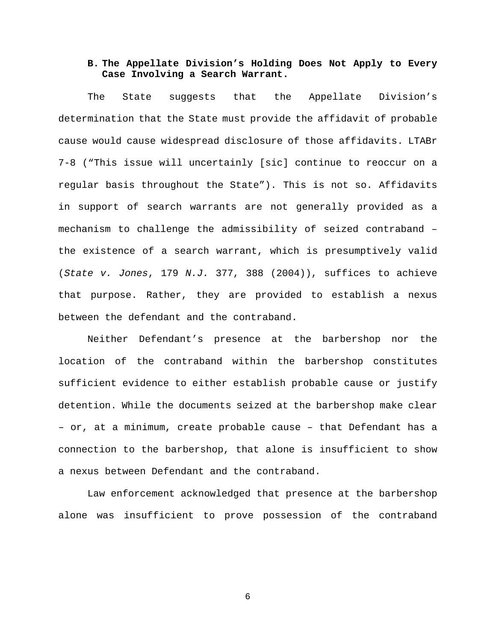## **B. The Appellate Division's Holding Does Not Apply to Every Case Involving a Search Warrant.**

The State suggests that the Appellate Division's determination that the State must provide the affidavit of probable cause would cause widespread disclosure of those affidavits. LTABr 7-8 ("This issue will uncertainly [sic] continue to reoccur on a regular basis throughout the State"). This is not so. Affidavits in support of search warrants are not generally provided as a mechanism to challenge the admissibility of seized contraband – the existence of a search warrant, which is presumptively valid (*State v. Jones*, 179 *N.J.* 377, 388 (2004)), suffices to achieve that purpose. Rather, they are provided to establish a nexus between the defendant and the contraband.

Neither Defendant's presence at the barbershop nor the location of the contraband within the barbershop constitutes sufficient evidence to either establish probable cause or justify detention. While the documents seized at the barbershop make clear – or, at a minimum, create probable cause – that Defendant has a connection to the barbershop, that alone is insufficient to show a nexus between Defendant and the contraband.

Law enforcement acknowledged that presence at the barbershop alone was insufficient to prove possession of the contraband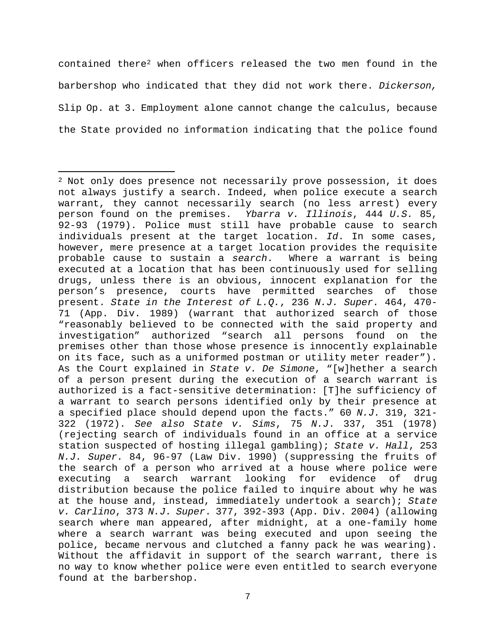contained there[2](#page-6-0) when officers released the two men found in the barbershop who indicated that they did not work there. *Dickerson,*  Slip Op. at 3. Employment alone cannot change the calculus, because the State provided no information indicating that the police found

 $\overline{\phantom{a}}$ 

<span id="page-6-0"></span> $2$  Not only does presence not necessarily prove possession, it does not always justify a search. Indeed, when police execute a search warrant, they cannot necessarily search (no less arrest) every person found on the premises. *Ybarra v. Illinois*, 444 *U.S.* 85, 92-93 (1979). Police must still have probable cause to search individuals present at the target location. *Id*. In some cases, however, mere presence at a target location provides the requisite<br>probable cause to sustain a search. Where a warrant is being probable cause to sustain a search. executed at a location that has been continuously used for selling drugs, unless there is an obvious, innocent explanation for the person's presence, courts have permitted searches of those present. *State in the Interest of L.Q.*, 236 *N.J. Super.* 464, 470- 71 (App. Div. 1989) (warrant that authorized search of those "reasonably believed to be connected with the said property and investigation" authorized "search all persons found on the premises other than those whose presence is innocently explainable on its face, such as a uniformed postman or utility meter reader"). As the Court explained in *State v. De Simone*, "[w]hether a search of a person present during the execution of a search warrant is authorized is a fact-sensitive determination: [T]he sufficiency of a warrant to search persons identified only by their presence at a specified place should depend upon the facts." 60 *N.J.* 319, 321- 322 (1972). *See also State v. Sims*, 75 *N.J*. 337, 351 (1978) (rejecting search of individuals found in an office at a service station suspected of hosting illegal gambling); *State v. Hall*, 253 *N.J. Super.* 84, 96-97 (Law Div. 1990) (suppressing the fruits of the search of a person who arrived at a house where police were executing a search warrant looking for evidence of drug distribution because the police failed to inquire about why he was at the house and, instead, immediately undertook a search); *State v. Carlino*, 373 *N.J. Super*. 377, 392-393 (App. Div. 2004) (allowing search where man appeared, after midnight, at a one-family home where a search warrant was being executed and upon seeing the police, became nervous and clutched a fanny pack he was wearing). Without the affidavit in support of the search warrant, there is no way to know whether police were even entitled to search everyone found at the barbershop.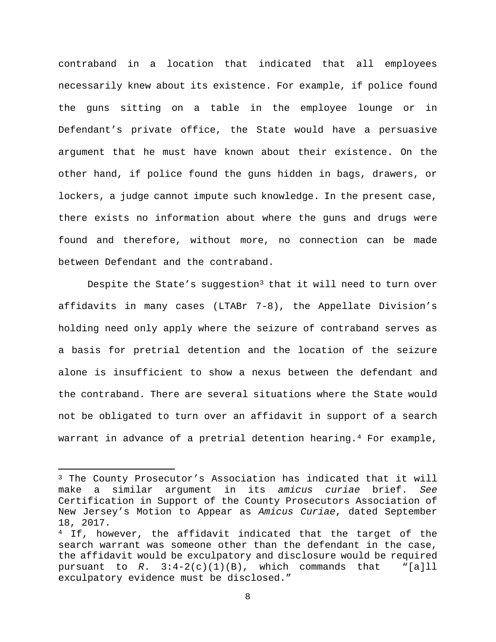contraband in a location that indicated that all employees necessarily knew about its existence. For example, if police found the guns sitting on a table in the employee lounge or in Defendant's private office, the State would have a persuasive argument that he must have known about their existence. On the other hand, if police found the guns hidden in bags, drawers, or lockers, a judge cannot impute such knowledge. In the present case, there exists no information about where the guns and drugs were found and therefore, without more, no connection can be made between Defendant and the contraband.

Despite the State's suggestion<sup>[3](#page-7-0)</sup> that it will need to turn over affidavits in many cases (LTABr 7-8), the Appellate Division's holding need only apply where the seizure of contraband serves as a basis for pretrial detention and the location of the seizure alone is insufficient to show a nexus between the defendant and the contraband. There are several situations where the State would not be obligated to turn over an affidavit in support of a search warrant in advance of a pretrial detention hearing.<sup>[4](#page-7-1)</sup> For example,

l

<span id="page-7-0"></span><sup>3</sup> The County Prosecutor's Association has indicated that it will make a similar argument in its *amicus curiae* brief. *See*  Certification in Support of the County Prosecutors Association of New Jersey's Motion to Appear as *Amicus Curiae*, dated September 18, 2017.

<span id="page-7-1"></span><sup>&</sup>lt;sup>4</sup> If, however, the affidavit indicated that the target of the search warrant was someone other than the defendant in the case, the affidavit would be exculpatory and disclosure would be required pursuant to  $R. 3:4-2(c)(1)(B)$ , which commands that "[a]ll exculpatory evidence must be disclosed."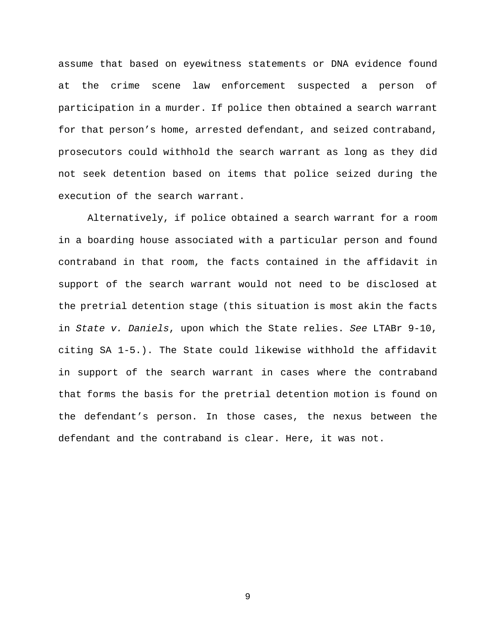assume that based on eyewitness statements or DNA evidence found at the crime scene law enforcement suspected a person of participation in a murder. If police then obtained a search warrant for that person's home, arrested defendant, and seized contraband, prosecutors could withhold the search warrant as long as they did not seek detention based on items that police seized during the execution of the search warrant.

Alternatively, if police obtained a search warrant for a room in a boarding house associated with a particular person and found contraband in that room, the facts contained in the affidavit in support of the search warrant would not need to be disclosed at the pretrial detention stage (this situation is most akin the facts in *State v. Daniels*, upon which the State relies. *See* LTABr 9-10, citing SA 1-5.). The State could likewise withhold the affidavit in support of the search warrant in cases where the contraband that forms the basis for the pretrial detention motion is found on the defendant's person. In those cases, the nexus between the defendant and the contraband is clear. Here, it was not.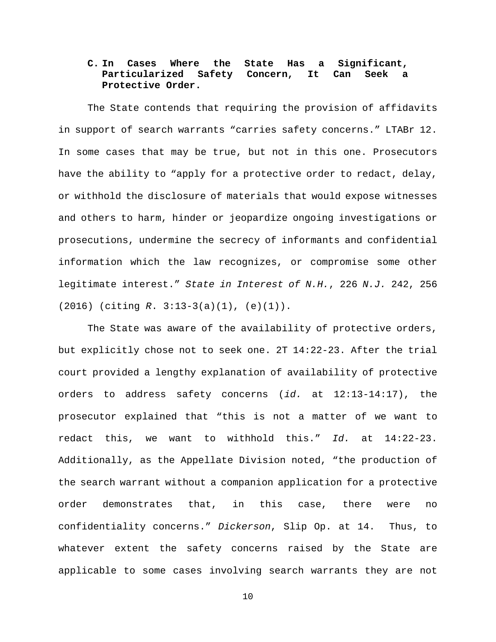# **C. In Cases Where the State Has a Significant, Particularized Safety Concern, It Can Seek a Protective Order.**

The State contends that requiring the provision of affidavits in support of search warrants "carries safety concerns." LTABr 12. In some cases that may be true, but not in this one. Prosecutors have the ability to "apply for a protective order to redact, delay, or withhold the disclosure of materials that would expose witnesses and others to harm, hinder or jeopardize ongoing investigations or prosecutions, undermine the secrecy of informants and confidential information which the law recognizes, or compromise some other legitimate interest." *State in Interest of N.H.*, 226 *N.J.* 242, 256 (2016) (citing *R*. 3:13-3(a)(1), (e)(1)).

The State was aware of the availability of protective orders, but explicitly chose not to seek one. 2T 14:22-23. After the trial court provided a lengthy explanation of availability of protective orders to address safety concerns (*id.* at 12:13-14:17), the prosecutor explained that "this is not a matter of we want to redact this, we want to withhold this." *Id.* at 14:22-23. Additionally, as the Appellate Division noted, "the production of the search warrant without a companion application for a protective order demonstrates that, in this case, there were no confidentiality concerns." *Dickerson*, Slip Op. at 14. Thus, to whatever extent the safety concerns raised by the State are applicable to some cases involving search warrants they are not